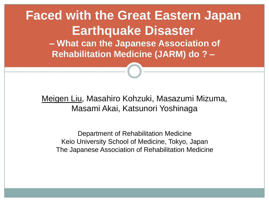#### **Faced with the Great Eastern Japan Earthquake Disaster – What can the Japanese Association of Rehabilitation Medicine (JARM) do ? –**

Meigen Liu, Masahiro Kohzuki, Masazumi Mizuma, Masami Akai, Katsunori Yoshinaga

Department of Rehabilitation Medicine Keio University School of Medicine, Tokyo, Japan The Japanese Association of Rehabilitation Medicine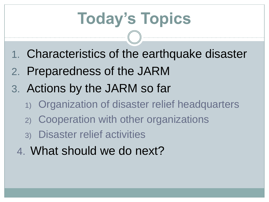# **Today's Topics**

- 1. Characteristics of the earthquake disaster
- 2. Preparedness of the JARM
- 3. Actions by the JARM so far
	- 1) Organization of disaster relief headquarters
	- 2) Cooperation with other organizations
	- 3) Disaster relief activities
	- 4. What should we do next?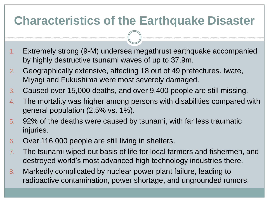### **Characteristics of the Earthquake Disaster**

- 1. Extremely strong (9-M) undersea megathrust earthquake accompanied by highly destructive tsunami waves of up to 37.9m.
- 2. Geographically extensive, affecting 18 out of 49 prefectures. Iwate, Miyagi and Fukushima were most severely damaged.
- 3. Caused over 15,000 deaths, and over 9,400 people are still missing.
- 4. The mortality was higher among persons with disabilities compared with general population (2.5% vs. 1%).
- 5. 92% of the deaths were caused by tsunami, with far less traumatic injuries.
- 6. Over 116,000 people are still living in shelters.
- 7. The tsunami wiped out basis of life for local farmers and fishermen, and destroyed world's most advanced high technology industries there.
- 8. Markedly complicated by nuclear power plant failure, leading to radioactive contamination, power shortage, and ungrounded rumors.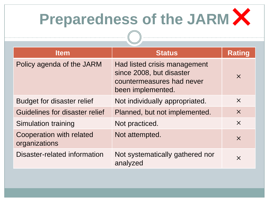# **Preparedness of the JARM ×**

| <b>Item</b>                               | <b>Status</b>                                                                                              | <b>Rating</b> |
|-------------------------------------------|------------------------------------------------------------------------------------------------------------|---------------|
| Policy agenda of the JARM                 | Had listed crisis management<br>since 2008, but disaster<br>countermeasures had never<br>been implemented. | $\times$      |
| <b>Budget for disaster relief</b>         | Not individually appropriated.                                                                             | $\times$      |
| Guidelines for disaster relief            | Planned, but not implemented.                                                                              | $\times$      |
| Simulation training                       | Not practiced.                                                                                             | $\times$      |
| Cooperation with related<br>organizations | Not attempted.                                                                                             | $\times$      |
| Disaster-related information              | Not systematically gathered nor<br>analyzed                                                                | $\times$      |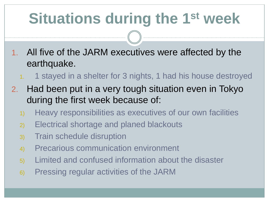# **Situations during the 1st week**

- 1. All five of the JARM executives were affected by the earthquake.
	- 1. 1 stayed in a shelter for 3 nights, 1 had his house destroyed
- 2. Had been put in a very tough situation even in Tokyo during the first week because of:
	- 1) Heavy responsibilities as executives of our own facilities
	- 2) Electrical shortage and planed blackouts
	- 3) Train schedule disruption
	- 4) Precarious communication environment
	- 5) Limited and confused information about the disaster
	- 6) Pressing regular activities of the JARM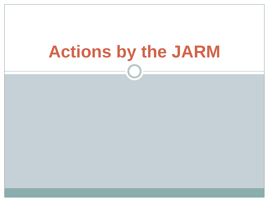# **Actions by the JARM**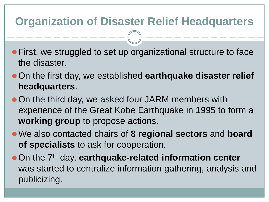#### **Organization of Disaster Relief Headquarters**

- **First, we struggled to set up organizational structure to face** the disaster.
- On the first day, we established **earthquake disaster relief headquarters**.
- On the third day, we asked four JARM members with experience of the Great Kobe Earthquake in 1995 to form a **working group** to propose actions.
- We also contacted chairs of **8 regional sectors** and **board of specialists** to ask for cooperation.
- **On the 7<sup>th</sup> day, earthquake-related information center** was started to centralize information gathering, analysis and publicizing.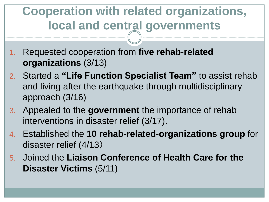## **Cooperation with related organizations, local and central governments**

- 1. Requested cooperation from **five rehab-related organizations** (3/13)
- 2. Started a **"Life Function Specialist Team"** to assist rehab and living after the earthquake through multidisciplinary approach (3/16)
- 3. Appealed to the **government** the importance of rehab interventions in disaster relief (3/17).
- 4. Established the **10 rehab-related-organizations group** for disaster relief (4/13)
- 5. Joined the **Liaison Conference of Health Care for the Disaster Victims** (5/11)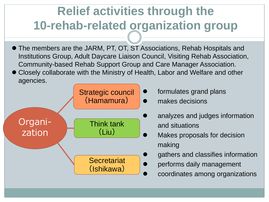# **Relief activities through the 10-rehab-related organization group**

- The members are the JARM, PT, OT, ST Associations, Rehab Hospitals and Institutions Group, Adult Daycare Liaison Council, Visiting Rehab Association, Community-based Rehab Support Group and Care Manager Association.
- Closely collaborate with the Ministry of Health, Labor and Welfare and other agencies.



- formulates grand plans
- makes decisions
- analyzes and judges information and situations
- Makes proposals for decision making
	- gathers and classifies information
	- performs daily management
	- coordinates among organizations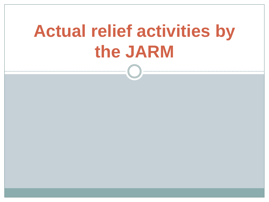# **Actual relief activities by the JARM**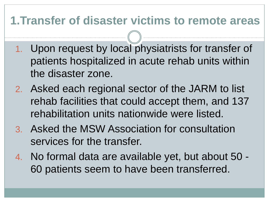#### **1.Transfer of disaster victims to remote areas**

- 1. Upon request by local physiatrists for transfer of patients hospitalized in acute rehab units within the disaster zone.
- 2. Asked each regional sector of the JARM to list rehab facilities that could accept them, and 137 rehabilitation units nationwide were listed.
- 3. Asked the MSW Association for consultation services for the transfer.
- 4. No formal data are available yet, but about 50 60 patients seem to have been transferred.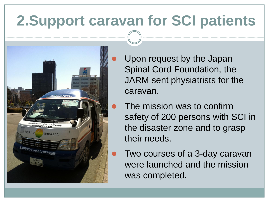# **2.Support caravan for SCI patients**



 Upon request by the Japan Spinal Cord Foundation, the JARM sent physiatrists for the caravan.

- The mission was to confirm safety of 200 persons with SCI in the disaster zone and to grasp their needs.
- Two courses of a 3-day caravan were launched and the mission was completed.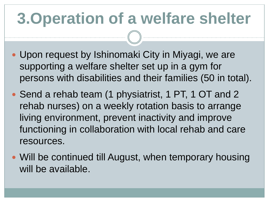# **3.Operation of a welfare shelter**

- Upon request by Ishinomaki City in Miyagi, we are supporting a welfare shelter set up in a gym for persons with disabilities and their families (50 in total).
- Send a rehab team (1 physiatrist, 1 PT, 1 OT and 2 rehab nurses) on a weekly rotation basis to arrange living environment, prevent inactivity and improve functioning in collaboration with local rehab and care resources.
- Will be continued till August, when temporary housing will be available.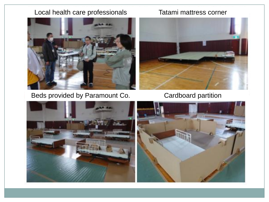#### Local health care professionals Tatami mattress corner



Beds provided by Paramount Co. Cardboard partition



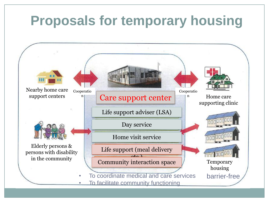#### **Proposals for temporary housing** Nearby home care Cooperatio Cooperatio support centers Care support center n Home care n supporting clinic Life support adviser (LSA) Day service Home visit service Elderly persons & Life support (meal delivery persons with disability **Tonn** 000 <sup>00</sup>  $\Delta$ <sub>c</sub> $\Delta$ in the community Community interaction space Temporary housing • To coordinate medical and care services barrier-freeTo facilitate community functioning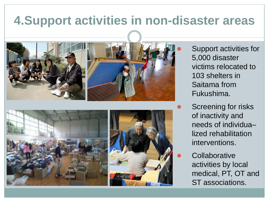### **4.Support activities in non-disaster areas**



 Support activities for 5,000 disaster victims relocated to 103 shelters in Saitama from Fukushima.

 Screening for risks of inactivity and needs of individua– lized rehabilitation interventions.

**Collaborative** activities by local medical, PT, OT and ST associations.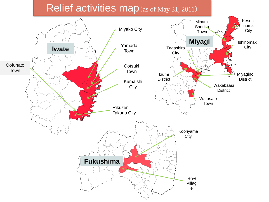#### Relief activities map (as of May 31, 2011)

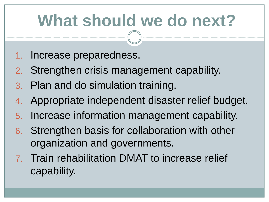# **What should we do next?**

- 1. Increase preparedness.
- 2. Strengthen crisis management capability.
- 3. Plan and do simulation training.
- 4. Appropriate independent disaster relief budget.
- 5. Increase information management capability.
- 6. Strengthen basis for collaboration with other organization and governments.
- 7. Train rehabilitation DMAT to increase relief capability.